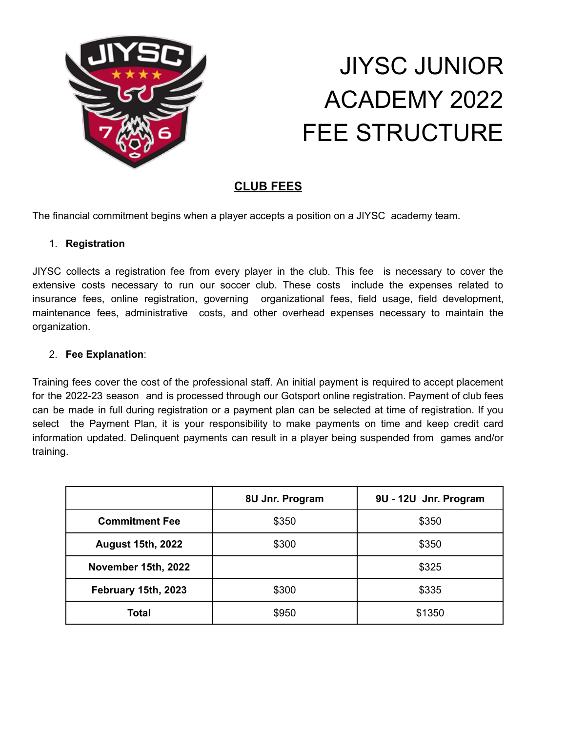

# JIYSC JUNIOR ACADEMY 2022 FEE STRUCTURE

## **CLUB FEES**

The financial commitment begins when a player accepts a position on a JIYSC academy team.

#### 1. **Registration**

JIYSC collects a registration fee from every player in the club. This fee is necessary to cover the extensive costs necessary to run our soccer club. These costs include the expenses related to insurance fees, online registration, governing organizational fees, field usage, field development, maintenance fees, administrative costs, and other overhead expenses necessary to maintain the organization.

#### 2. **Fee Explanation**:

Training fees cover the cost of the professional staff. An initial payment is required to accept placement for the 2022-23 season and is processed through our Gotsport online registration. Payment of club fees can be made in full during registration or a payment plan can be selected at time of registration. If you select the Payment Plan, it is your responsibility to make payments on time and keep credit card information updated. Delinquent payments can result in a player being suspended from games and/or training.

|                          | 8U Jnr. Program | 9U - 12U Jnr. Program |
|--------------------------|-----------------|-----------------------|
| <b>Commitment Fee</b>    | \$350           | \$350                 |
| <b>August 15th, 2022</b> | \$300           | \$350                 |
| November 15th, 2022      |                 | \$325                 |
| February 15th, 2023      | \$300           | \$335                 |
| <b>Total</b>             | \$950           | \$1350                |